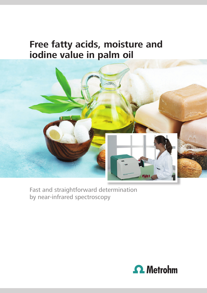# **Free fatty acids, moisture and iodine value in palm oil**



Fast and straightforward determination by near-infrared spectroscopy

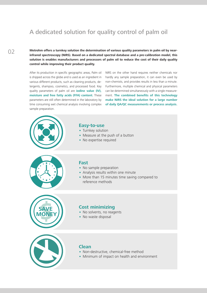## A dedicated solution for quality control of palm oil

**Metrohm offers a turnkey solution the determination of various quality parameters in palm oil by nearinfrared spectroscopy (NIRS). Based on a dedicated spectral database and a pre-calibration model, this solution is enables manufacturers and processors of palm oil to reduce the cost of their daily quality control while improving their product quality.**

After its production in specific geographic areas, Palm oil is shipped across the globe and is used as an ingredient in various different products, such as cleaning products, detergents, shampoo, cosmetics, and processed food. Key quality parameters of palm oil are **iodine value (IV), moisture and free fatty acids (FFA) content.** These parameters are still often determined in the laboratory by time consuming wet chemical analysis involving complex sample preparation.

NIRS on the other hand requires neither chemicals nor hardly any sample preparation, it can even be used by non-chemists, and provides results in less than a minute. Furthermore, multiple chemical and physical parameters can be determined simultaneously with a single measurement. **The combined benefits of this technology make NIRS the ideal solution for a large number of daily QA/QC measurements or process analysis.**



#### **Easy-to-use**

- Turnkey solution
- Measure at the push of a button
- No expertise required



#### **Fast**

- No sample preparation
- Analysis results within one minute
- More than 15 minutes time saving compared to reference methods



#### **Cost minimizing**

- No solvents, no reagents
- No waste disposal



### **Clean**

- Non-destructive, chemical-free method
- Minimum of impact on health and environment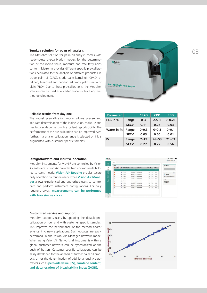The Metrohm solution for palm oil analysis comes with ready-to-use pre-calibration models for the determination of the iodine value, moisture and free fatty acids content. Metrohm provides different specific pre-calibrations dedicated for the analysis of different products like crude palm oil (CPO), crude palm kernel oil (CPKO) or refined, bleached and deodorized crude palm stearin or olein (RBD). Due to these pre-calibrations, the Metrohm solution can be used as a starter model without any method development.



#### **Reliable results from day one**

The robust pre-calibration model allows precise and accurate determination of the iodine value, moisture and free fatty acids content with excellent reproducibility. The performance of the pre-calibration can be improved even further, if a smaller calibration range is selected or if it is augmented with customer specific samples.

#### **Straightforward and intuitive operation**

Metrohm instruments for Vis-NIR are controlled by Vision Air software. Vision Air provides two environments tailored to users' needs: **Vision Air Routine** enables secure daily operation by routine users, while **Vision Air Manager** allows experienced and authorized users to control data and perform instrument configurations. For daily routine analysis, **measurements can be performed with two simple clicks.**

#### **Customized service and support**

Metrohm supports users by updating the default precalibration on demand with customer specific samples. This improves the performance of the method and/or extends it to new applications. Such updates are easily performed in the Vision Air Manager network mode. When using Vision Air Network, all instruments within a global customer network can be synchronized at the push of button. Customer specific calibrations can be easily developed for the analysis of further palm oil products or for the determination of additional quality parameters such as **peroxide value (PV), carotene content, and deterioration of bleachability index (DOBI).**

| <b>Parameter</b> |             | <b>CPKO</b> | <b>CPO</b> | <b>RBD</b> |
|------------------|-------------|-------------|------------|------------|
| FFA in %         | Range       | $0 - 4$     | $2.5 - 6$  | $0 - 0.25$ |
|                  | <b>SECV</b> | 0.11        | 0.26       | 0.03       |
| Water in %       | Range       | $0 - 0.3$   | $0 - 0.3$  | $0 - 0.1$  |
|                  | <b>SECV</b> | 0.03        | 0.05       | 0.01       |
| $\mathbf{N}$     | Range       | $7 - 19$    | $49 - 53$  | $21 - 63$  |
|                  | <b>SECV</b> | 0.27        | 0.22       | 0.56       |